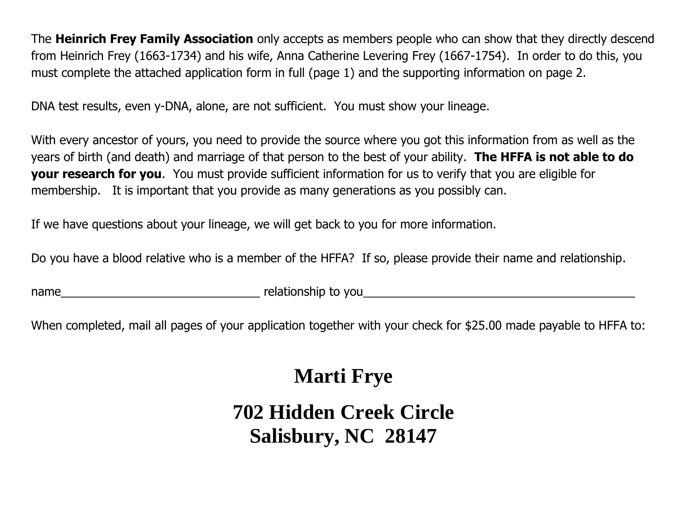The **Heinrich Frey Family Association** only accepts as members people who can show that they directly descend from Heinrich Frey (1663-1734) and his wife, Anna Catherine Levering Frey (1667-1754). In order to do this, you must complete the attached application form in full (page 1) and the supporting information on page 2.

DNA test results, even y-DNA, alone, are not sufficient. You must show your lineage.

With every ancestor of yours, you need to provide the source where you got this information from as well as the years of birth (and death) and marriage of that person to the best of your ability. **The HFFA is not able to do your research for you**. You must provide sufficient information for us to verify that you are eligible for membership. It is important that you provide as many generations as you possibly can.

If we have questions about your lineage, we will get back to you for more information.

Do you have a blood relative who is a member of the HFFA? If so, please provide their name and relationship.

name the contract of the relationship to you

When completed, mail all pages of your application together with your check for \$25.00 made payable to HFFA to:

## **Marti Frye**

## **702 Hidden Creek Circle Salisbury, NC 28147**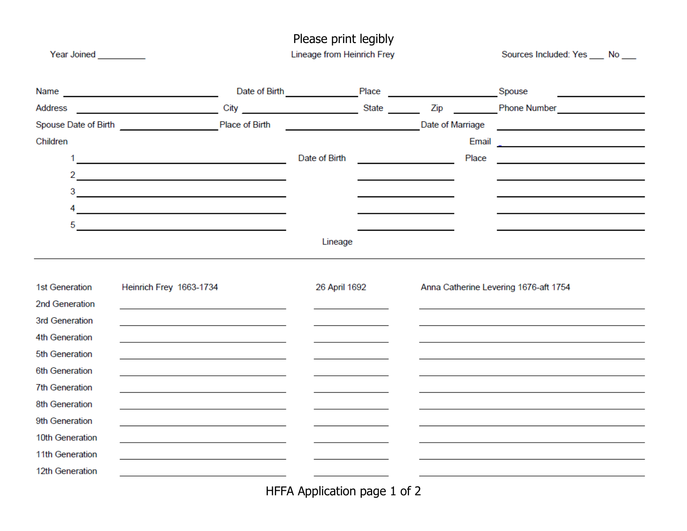| Year Joined <b>Communist Street</b> |                                                                 | Please print legibly<br>Lineage from Heinrich Frey |                                        |  |                                       | Sources Included: Yes ____ No ___ |                                                                                                                                                                                                                                |
|-------------------------------------|-----------------------------------------------------------------|----------------------------------------------------|----------------------------------------|--|---------------------------------------|-----------------------------------|--------------------------------------------------------------------------------------------------------------------------------------------------------------------------------------------------------------------------------|
|                                     |                                                                 |                                                    | Date of Birth Place Place Place Spouse |  |                                       |                                   |                                                                                                                                                                                                                                |
| Address                             |                                                                 |                                                    |                                        |  |                                       |                                   | City City City City State City State Company State Company State Company State City City Company State Company State City Company State Company State Company State Company State Company State Company State Company State Co |
|                                     | Spouse Date of Birth Place of Birth                             |                                                    | <b>Example 2018</b> Date of Marriage   |  |                                       |                                   | <u> 1980 - Jan Barbara Barat, martin da basar da basar da basar da basar da basar da basar da basar da basar da b</u>                                                                                                          |
| Children                            |                                                                 |                                                    |                                        |  |                                       | Email                             | <u> La componenta de la componenta de la componenta de la componenta de la componenta de la componenta de la compo</u>                                                                                                         |
|                                     | <u> 1989 - Johann Barn, mars an t-Amerikaansk kommunister (</u> |                                                    | Date of Birth                          |  |                                       | Place                             | the control of the control of the control of the control of the control of                                                                                                                                                     |
| $\overline{2}$                      |                                                                 |                                                    |                                        |  |                                       |                                   |                                                                                                                                                                                                                                |
| 3                                   | <u> 1989 - Johann Barbara, martxa alemaniar arg</u>             |                                                    |                                        |  |                                       |                                   |                                                                                                                                                                                                                                |
|                                     | <u> 1989 - Johann John Stone, meil in der Stone (d. 1989)</u>   |                                                    |                                        |  |                                       |                                   |                                                                                                                                                                                                                                |
| 5                                   |                                                                 |                                                    |                                        |  |                                       |                                   |                                                                                                                                                                                                                                |
|                                     |                                                                 |                                                    | Lineage                                |  |                                       |                                   |                                                                                                                                                                                                                                |
| 1st Generation<br>2nd Generation    | Heinrich Frey 1663-1734                                         |                                                    | 26 April 1692                          |  | Anna Catherine Levering 1676-aft 1754 |                                   |                                                                                                                                                                                                                                |
| 3rd Generation<br>4th Generation    |                                                                 |                                                    |                                        |  |                                       |                                   |                                                                                                                                                                                                                                |
| 5th Generation                      |                                                                 |                                                    |                                        |  |                                       |                                   |                                                                                                                                                                                                                                |
| 6th Generation                      |                                                                 |                                                    |                                        |  |                                       |                                   |                                                                                                                                                                                                                                |
| <b>7th Generation</b>               |                                                                 |                                                    |                                        |  |                                       |                                   |                                                                                                                                                                                                                                |
| 8th Generation                      |                                                                 |                                                    |                                        |  |                                       |                                   |                                                                                                                                                                                                                                |
| 9th Generation                      |                                                                 |                                                    |                                        |  |                                       |                                   |                                                                                                                                                                                                                                |
| 10th Generation                     |                                                                 |                                                    |                                        |  |                                       |                                   |                                                                                                                                                                                                                                |
| 11th Generation                     |                                                                 |                                                    |                                        |  |                                       |                                   |                                                                                                                                                                                                                                |
| 12th Generation                     |                                                                 |                                                    |                                        |  |                                       |                                   |                                                                                                                                                                                                                                |
|                                     |                                                                 |                                                    |                                        |  |                                       |                                   |                                                                                                                                                                                                                                |

HFFA Application page 1 of 2